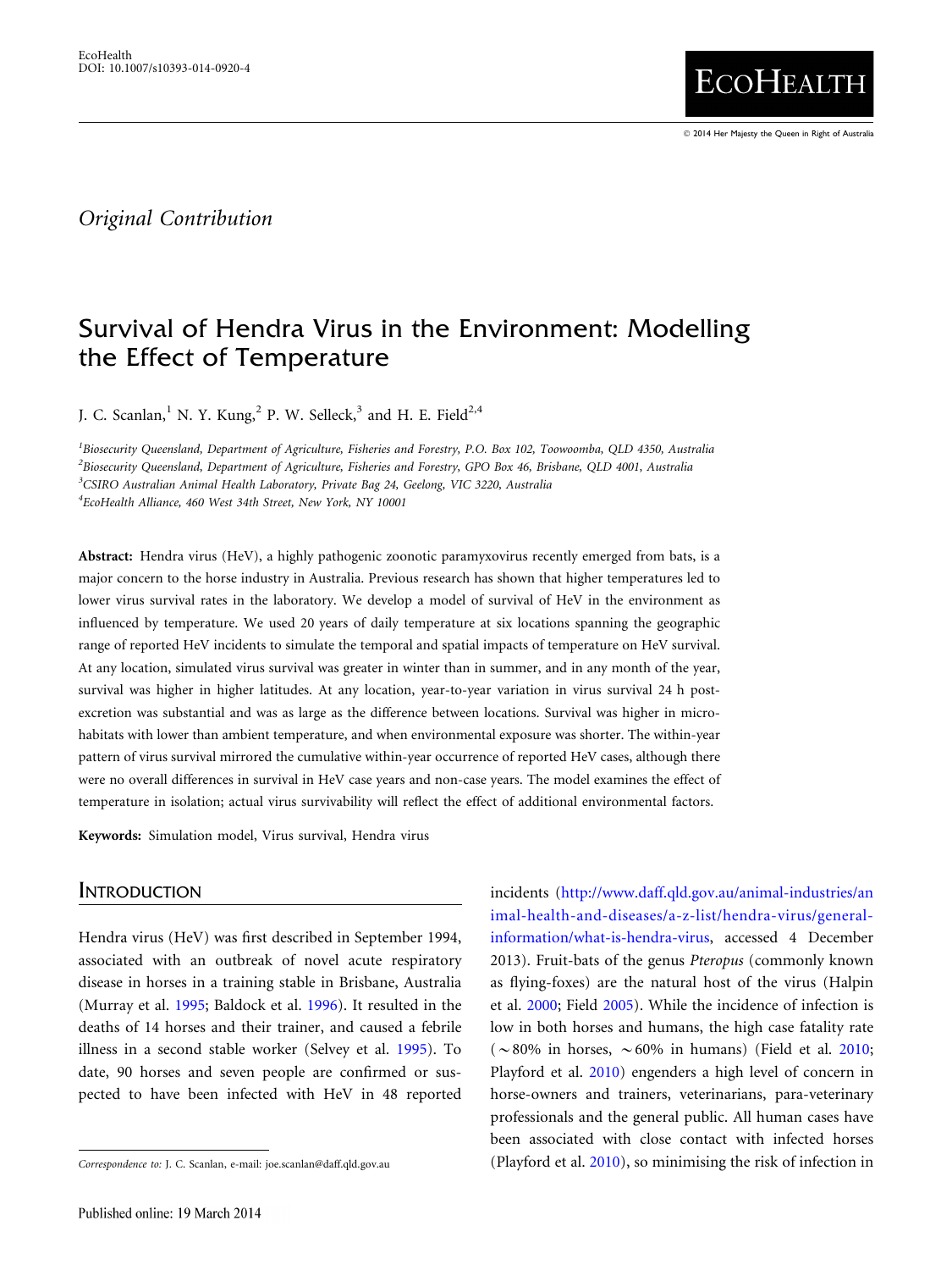- 2014 Her Majesty the Queen in Right of Australia

**ECOHEALTH** 

# Original Contribution

# Survival of Hendra Virus in the Environment: Modelling the Effect of Temperature

J. C. Scanlan,<sup>1</sup> N. Y. Kung,<sup>2</sup> P. W. Selleck,<sup>3</sup> and H. E. Field<sup>2,4</sup>

<sup>1</sup>Biosecurity Queensland, Department of Agriculture, Fisheries and Forestry, P.O. Box 102, Toowoomba, QLD 4350, Australia 2 Biosecurity Queensland, Department of Agriculture, Fisheries and Forestry, GPO Box 46, Brisbane, QLD 4001, Australia <sup>3</sup>CSIRO Australian Animal Health Laboratory, Private Bag 24, Geelong, VIC 3220, Australia 4 EcoHealth Alliance, 460 West 34th Street, New York, NY 10001

Abstract: Hendra virus (HeV), a highly pathogenic zoonotic paramyxovirus recently emerged from bats, is a major concern to the horse industry in Australia. Previous research has shown that higher temperatures led to lower virus survival rates in the laboratory. We develop a model of survival of HeV in the environment as influenced by temperature. We used 20 years of daily temperature at six locations spanning the geographic range of reported HeV incidents to simulate the temporal and spatial impacts of temperature on HeV survival. At any location, simulated virus survival was greater in winter than in summer, and in any month of the year, survival was higher in higher latitudes. At any location, year-to-year variation in virus survival 24 h postexcretion was substantial and was as large as the difference between locations. Survival was higher in microhabitats with lower than ambient temperature, and when environmental exposure was shorter. The within-year pattern of virus survival mirrored the cumulative within-year occurrence of reported HeV cases, although there were no overall differences in survival in HeV case years and non-case years. The model examines the effect of temperature in isolation; actual virus survivability will reflect the effect of additional environmental factors.

Keywords: Simulation model, Virus survival, Hendra virus

## **INTRODUCTION**

Hendra virus (HeV) was first described in September 1994, associated with an outbreak of novel acute respiratory disease in horses in a training stable in Brisbane, Australia (Murray et al. [1995](#page-9-0); Baldock et al. [1996\)](#page-8-0). It resulted in the deaths of 14 horses and their trainer, and caused a febrile illness in a second stable worker (Selvey et al. [1995](#page-9-0)). To date, 90 horses and seven people are confirmed or suspected to have been infected with HeV in 48 reported

incidents [\(http://www.daff.qld.gov.au/animal-industries/an](http://www.daff.qld.gov.au/animal-industries/animal-health-and-diseases/a-z-list/hendra-virus/general-information/what-is-hendra-virus) [imal-health-and-diseases/a-z-list/hendra-virus/general](http://www.daff.qld.gov.au/animal-industries/animal-health-and-diseases/a-z-list/hendra-virus/general-information/what-is-hendra-virus)[information/what-is-hendra-virus,](http://www.daff.qld.gov.au/animal-industries/animal-health-and-diseases/a-z-list/hendra-virus/general-information/what-is-hendra-virus) accessed 4 December 2013). Fruit-bats of the genus Pteropus (commonly known as flying-foxes) are the natural host of the virus (Halpin et al. [2000;](#page-9-0) Field [2005](#page-9-0)). While the incidence of infection is low in both horses and humans, the high case fatality rate ( $\sim$ 80% in horses,  $\sim$  60% in humans) (Field et al. [2010;](#page-9-0) Playford et al. [2010\)](#page-9-0) engenders a high level of concern in horse-owners and trainers, veterinarians, para-veterinary professionals and the general public. All human cases have been associated with close contact with infected horses Correspondence to: J. C. Scanlan, e-mail: joe.scanlan@daff.qld.gov.au (Playford et al. [2010\)](#page-9-0), so minimising the risk of infection in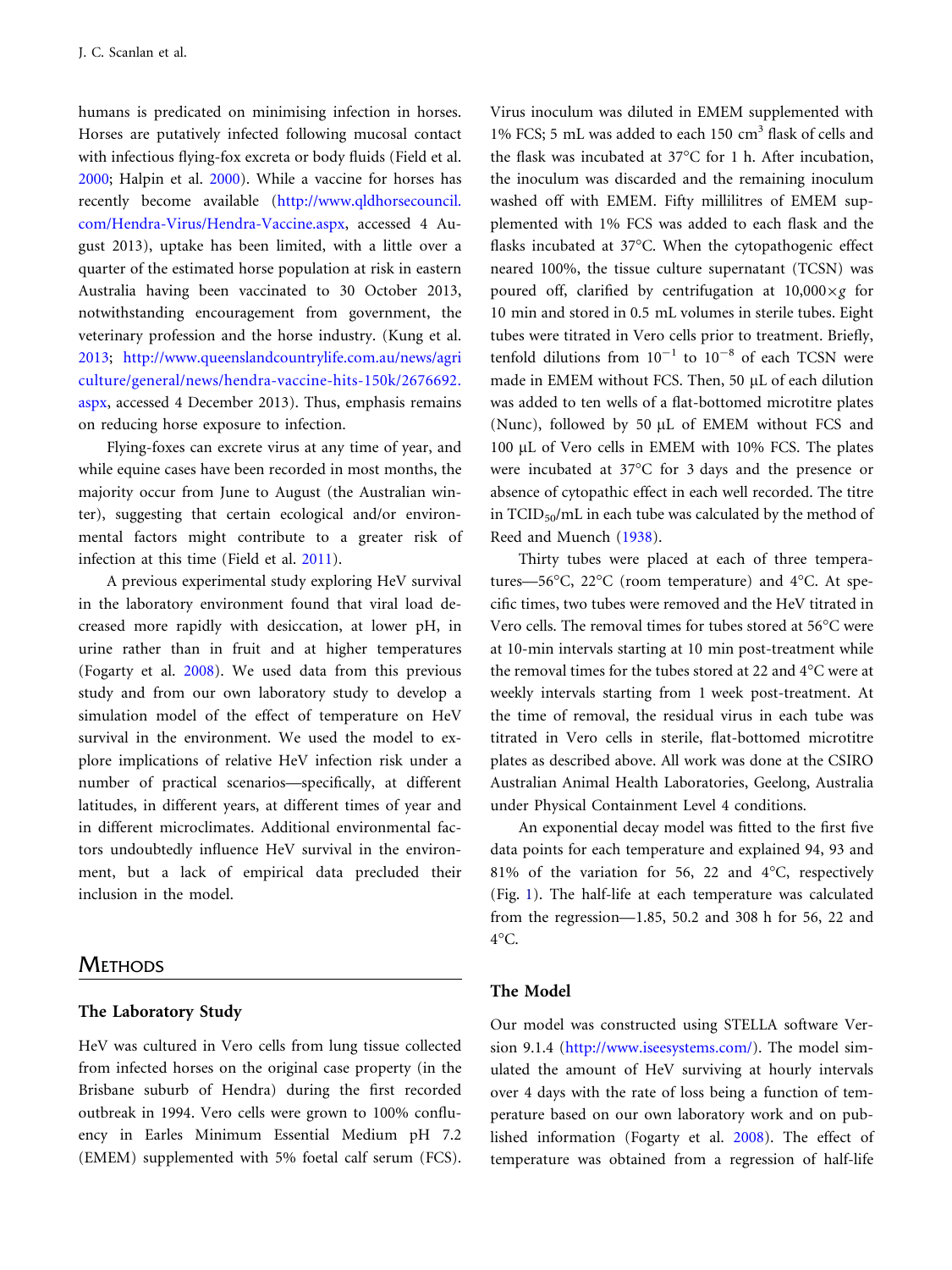humans is predicated on minimising infection in horses. Horses are putatively infected following mucosal contact with infectious flying-fox excreta or body fluids (Field et al. [2000](#page-9-0); Halpin et al. [2000\)](#page-9-0). While a vaccine for horses has recently become available [\(http://www.qldhorsecouncil.](http://www.qldhorsecouncil.com/Hendra-Virus/Hendra-Vaccine.aspx) [com/Hendra-Virus/Hendra-Vaccine.aspx](http://www.qldhorsecouncil.com/Hendra-Virus/Hendra-Vaccine.aspx), accessed 4 August 2013), uptake has been limited, with a little over a quarter of the estimated horse population at risk in eastern Australia having been vaccinated to 30 October 2013, notwithstanding encouragement from government, the veterinary profession and the horse industry. (Kung et al. [2013](#page-9-0); [http://www.queenslandcountrylife.com.au/news/agri](http://www.queenslandcountrylife.com.au/news/agriculture/general/news/hendra-vaccine-hits-150k/2676692.aspx) [culture/general/news/hendra-vaccine-hits-150k/2676692.](http://www.queenslandcountrylife.com.au/news/agriculture/general/news/hendra-vaccine-hits-150k/2676692.aspx) [aspx,](http://www.queenslandcountrylife.com.au/news/agriculture/general/news/hendra-vaccine-hits-150k/2676692.aspx) accessed 4 December 2013). Thus, emphasis remains on reducing horse exposure to infection.

Flying-foxes can excrete virus at any time of year, and while equine cases have been recorded in most months, the majority occur from June to August (the Australian winter), suggesting that certain ecological and/or environmental factors might contribute to a greater risk of infection at this time (Field et al. [2011](#page-9-0)).

A previous experimental study exploring HeV survival in the laboratory environment found that viral load decreased more rapidly with desiccation, at lower pH, in urine rather than in fruit and at higher temperatures (Fogarty et al. [2008\)](#page-9-0). We used data from this previous study and from our own laboratory study to develop a simulation model of the effect of temperature on HeV survival in the environment. We used the model to explore implications of relative HeV infection risk under a number of practical scenarios—specifically, at different latitudes, in different years, at different times of year and in different microclimates. Additional environmental factors undoubtedly influence HeV survival in the environment, but a lack of empirical data precluded their inclusion in the model.

# **METHODS**

#### The Laboratory Study

HeV was cultured in Vero cells from lung tissue collected from infected horses on the original case property (in the Brisbane suburb of Hendra) during the first recorded outbreak in 1994. Vero cells were grown to 100% confluency in Earles Minimum Essential Medium pH 7.2 (EMEM) supplemented with 5% foetal calf serum (FCS). Virus inoculum was diluted in EMEM supplemented with 1% FCS; 5 mL was added to each 150 cm<sup>3</sup> flask of cells and the flask was incubated at  $37^{\circ}$ C for 1 h. After incubation, the inoculum was discarded and the remaining inoculum washed off with EMEM. Fifty millilitres of EMEM supplemented with 1% FCS was added to each flask and the flasks incubated at 37°C. When the cytopathogenic effect neared 100%, the tissue culture supernatant (TCSN) was poured off, clarified by centrifugation at  $10,000 \times g$  for 10 min and stored in 0.5 mL volumes in sterile tubes. Eight tubes were titrated in Vero cells prior to treatment. Briefly, tenfold dilutions from  $10^{-1}$  to  $10^{-8}$  of each TCSN were made in EMEM without FCS. Then, 50 µL of each dilution was added to ten wells of a flat-bottomed microtitre plates (Nunc), followed by 50  $\mu$ L of EMEM without FCS and 100 µL of Vero cells in EMEM with 10% FCS. The plates were incubated at  $37^{\circ}$ C for 3 days and the presence or absence of cytopathic effect in each well recorded. The titre in  $TCID_{50}/mL$  in each tube was calculated by the method of Reed and Muench ([1938](#page-9-0)).

Thirty tubes were placed at each of three temperatures—56°C, 22°C (room temperature) and 4°C. At specific times, two tubes were removed and the HeV titrated in Vero cells. The removal times for tubes stored at 56°C were at 10-min intervals starting at 10 min post-treatment while the removal times for the tubes stored at 22 and 4°C were at weekly intervals starting from 1 week post-treatment. At the time of removal, the residual virus in each tube was titrated in Vero cells in sterile, flat-bottomed microtitre plates as described above. All work was done at the CSIRO Australian Animal Health Laboratories, Geelong, Australia under Physical Containment Level 4 conditions.

An exponential decay model was fitted to the first five data points for each temperature and explained 94, 93 and 81% of the variation for 56, 22 and  $4^{\circ}$ C, respectively (Fig. [1\)](#page-2-0). The half-life at each temperature was calculated from the regression—1.85, 50.2 and 308 h for 56, 22 and  $4^{\circ}$ C.

#### The Model

Our model was constructed using STELLA software Version 9.1.4 (<http://www.iseesystems.com/>). The model simulated the amount of HeV surviving at hourly intervals over 4 days with the rate of loss being a function of temperature based on our own laboratory work and on published information (Fogarty et al. [2008\)](#page-9-0). The effect of temperature was obtained from a regression of half-life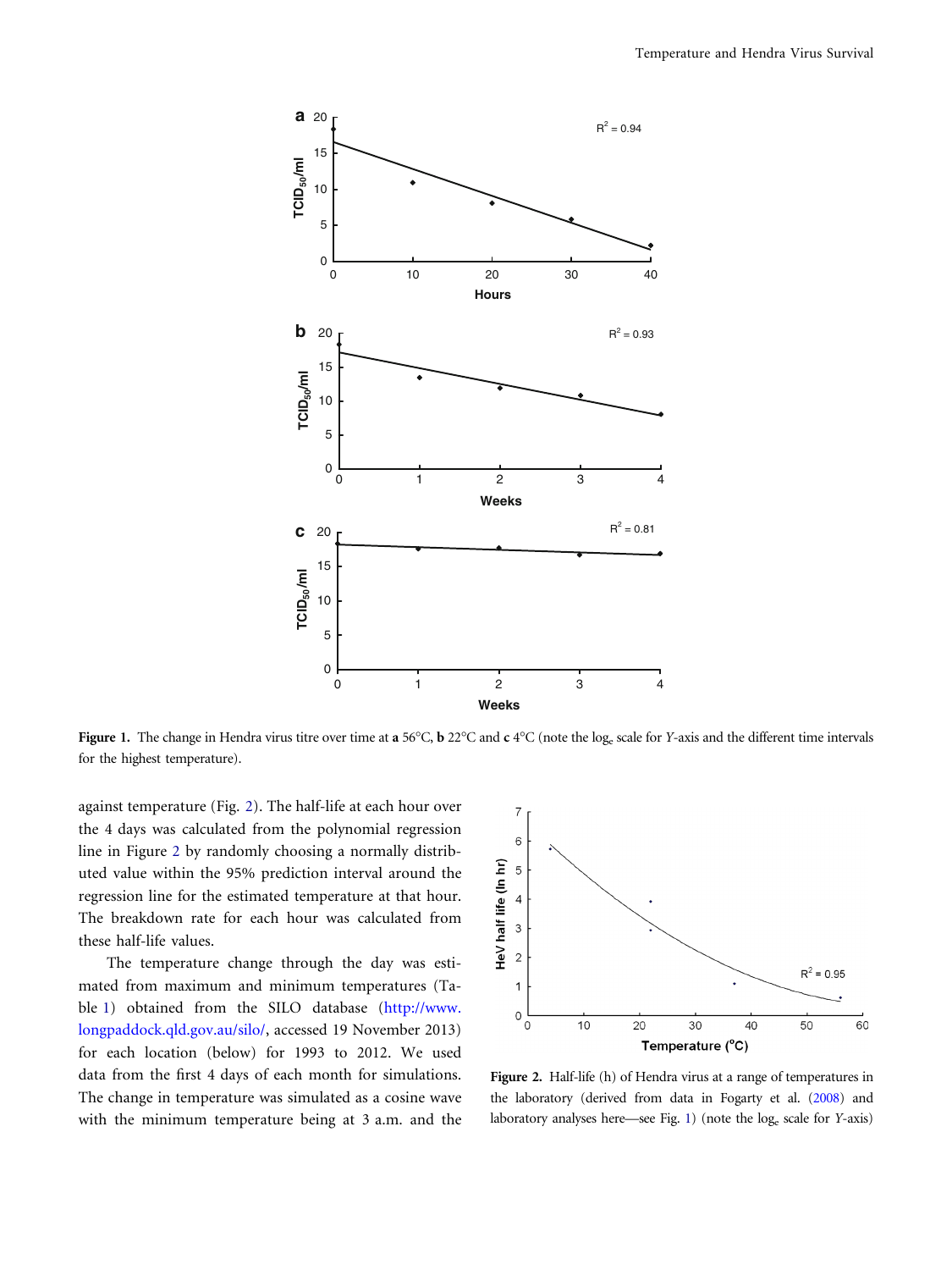<span id="page-2-0"></span>

Figure 1. The change in Hendra virus titre over time at a 56°C, b 22°C and c 4°C (note the log<sub>e</sub> scale for Y-axis and the different time intervals for the highest temperature).

against temperature (Fig. 2). The half-life at each hour over the 4 days was calculated from the polynomial regression line in Figure 2 by randomly choosing a normally distributed value within the 95% prediction interval around the regression line for the estimated temperature at that hour. The breakdown rate for each hour was calculated from these half-life values.

The temperature change through the day was estimated from maximum and minimum temperatures (Table [1\)](#page-3-0) obtained from the SILO database ([http://www.](http://www.longpaddock.qld.gov.au/silo/) [longpaddock.qld.gov.au/silo/,](http://www.longpaddock.qld.gov.au/silo/) accessed 19 November 2013) for each location (below) for 1993 to 2012. We used data from the first 4 days of each month for simulations. The change in temperature was simulated as a cosine wave with the minimum temperature being at 3 a.m. and the



Figure 2. Half-life (h) of Hendra virus at a range of temperatures in the laboratory (derived from data in Fogarty et al. [\(2008\)](#page-9-0) and laboratory analyses here—see Fig. 1) (note the loge scale for Y-axis)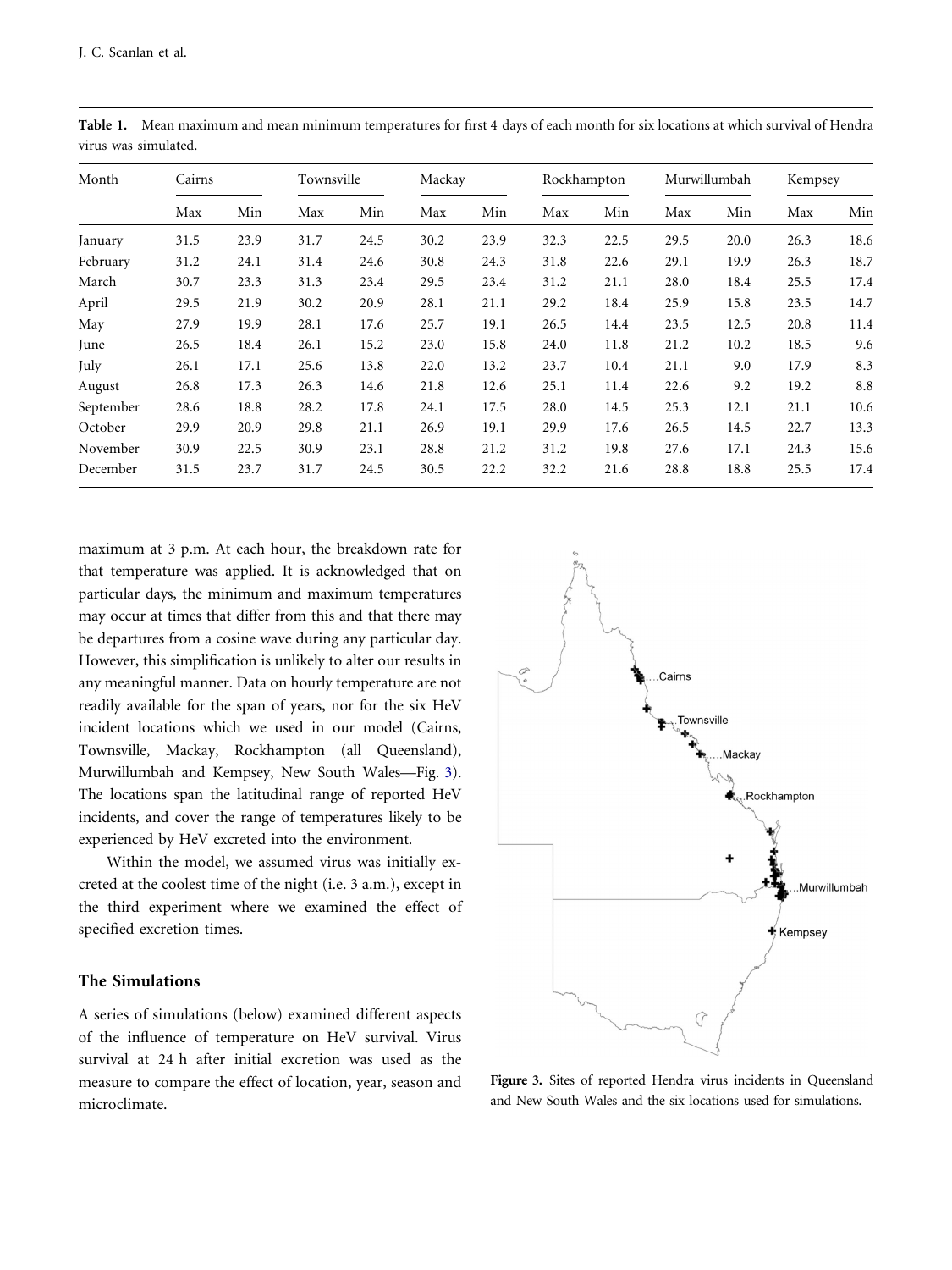| Month     | Cairns |      | Townsville |      | Mackay |      | Rockhampton |      | Murwillumbah |      | Kempsey |      |
|-----------|--------|------|------------|------|--------|------|-------------|------|--------------|------|---------|------|
|           | Max    | Min  | Max        | Min  | Max    | Min  | Max         | Min  | Max          | Min  | Max     | Min  |
| January   | 31.5   | 23.9 | 31.7       | 24.5 | 30.2   | 23.9 | 32.3        | 22.5 | 29.5         | 20.0 | 26.3    | 18.6 |
| February  | 31.2   | 24.1 | 31.4       | 24.6 | 30.8   | 24.3 | 31.8        | 22.6 | 29.1         | 19.9 | 26.3    | 18.7 |
| March     | 30.7   | 23.3 | 31.3       | 23.4 | 29.5   | 23.4 | 31.2        | 21.1 | 28.0         | 18.4 | 25.5    | 17.4 |
| April     | 29.5   | 21.9 | 30.2       | 20.9 | 28.1   | 21.1 | 29.2        | 18.4 | 25.9         | 15.8 | 23.5    | 14.7 |
| May       | 27.9   | 19.9 | 28.1       | 17.6 | 25.7   | 19.1 | 26.5        | 14.4 | 23.5         | 12.5 | 20.8    | 11.4 |
| June      | 26.5   | 18.4 | 26.1       | 15.2 | 23.0   | 15.8 | 24.0        | 11.8 | 21.2         | 10.2 | 18.5    | 9.6  |
| July      | 26.1   | 17.1 | 25.6       | 13.8 | 22.0   | 13.2 | 23.7        | 10.4 | 21.1         | 9.0  | 17.9    | 8.3  |
| August    | 26.8   | 17.3 | 26.3       | 14.6 | 21.8   | 12.6 | 25.1        | 11.4 | 22.6         | 9.2  | 19.2    | 8.8  |
| September | 28.6   | 18.8 | 28.2       | 17.8 | 24.1   | 17.5 | 28.0        | 14.5 | 25.3         | 12.1 | 21.1    | 10.6 |
| October   | 29.9   | 20.9 | 29.8       | 21.1 | 26.9   | 19.1 | 29.9        | 17.6 | 26.5         | 14.5 | 22.7    | 13.3 |
| November  | 30.9   | 22.5 | 30.9       | 23.1 | 28.8   | 21.2 | 31.2        | 19.8 | 27.6         | 17.1 | 24.3    | 15.6 |
| December  | 31.5   | 23.7 | 31.7       | 24.5 | 30.5   | 22.2 | 32.2        | 21.6 | 28.8         | 18.8 | 25.5    | 17.4 |

<span id="page-3-0"></span>Table 1. Mean maximum and mean minimum temperatures for first 4 days of each month for six locations at which survival of Hendra virus was simulated.

maximum at 3 p.m. At each hour, the breakdown rate for that temperature was applied. It is acknowledged that on particular days, the minimum and maximum temperatures may occur at times that differ from this and that there may be departures from a cosine wave during any particular day. However, this simplification is unlikely to alter our results in any meaningful manner. Data on hourly temperature are not readily available for the span of years, nor for the six HeV incident locations which we used in our model (Cairns, Townsville, Mackay, Rockhampton (all Queensland), Murwillumbah and Kempsey, New South Wales—Fig. 3). The locations span the latitudinal range of reported HeV incidents, and cover the range of temperatures likely to be experienced by HeV excreted into the environment.

Within the model, we assumed virus was initially excreted at the coolest time of the night (i.e. 3 a.m.), except in the third experiment where we examined the effect of specified excretion times.

# The Simulations

A series of simulations (below) examined different aspects of the influence of temperature on HeV survival. Virus survival at 24 h after initial excretion was used as the measure to compare the effect of location, year, season and microclimate.



Figure 3. Sites of reported Hendra virus incidents in Queensland and New South Wales and the six locations used for simulations.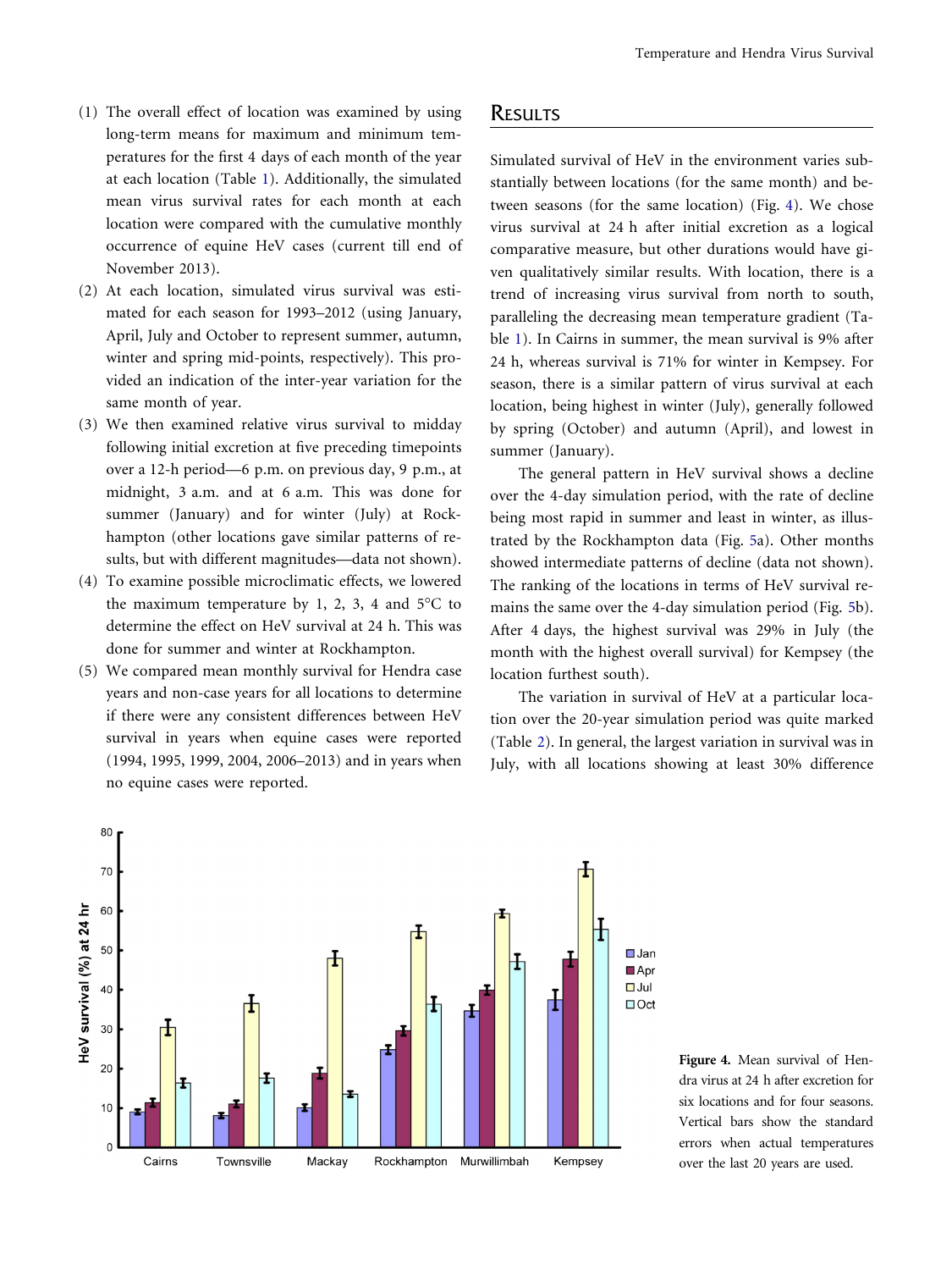- <span id="page-4-0"></span>(1) The overall effect of location was examined by using long-term means for maximum and minimum temperatures for the first 4 days of each month of the year at each location (Table [1\)](#page-3-0). Additionally, the simulated mean virus survival rates for each month at each location were compared with the cumulative monthly occurrence of equine HeV cases (current till end of November 2013).
- (2) At each location, simulated virus survival was estimated for each season for 1993–2012 (using January, April, July and October to represent summer, autumn, winter and spring mid-points, respectively). This provided an indication of the inter-year variation for the same month of year.
- (3) We then examined relative virus survival to midday following initial excretion at five preceding timepoints over a 12-h period—6 p.m. on previous day, 9 p.m., at midnight, 3 a.m. and at 6 a.m. This was done for summer (January) and for winter (July) at Rockhampton (other locations gave similar patterns of results, but with different magnitudes—data not shown).
- (4) To examine possible microclimatic effects, we lowered the maximum temperature by 1, 2, 3, 4 and  $5^{\circ}$ C to determine the effect on HeV survival at 24 h. This was done for summer and winter at Rockhampton.
- (5) We compared mean monthly survival for Hendra case years and non-case years for all locations to determine if there were any consistent differences between HeV survival in years when equine cases were reported (1994, 1995, 1999, 2004, 2006–2013) and in years when no equine cases were reported.

# **RESULTS**

Simulated survival of HeV in the environment varies substantially between locations (for the same month) and between seasons (for the same location) (Fig. 4). We chose virus survival at 24 h after initial excretion as a logical comparative measure, but other durations would have given qualitatively similar results. With location, there is a trend of increasing virus survival from north to south, paralleling the decreasing mean temperature gradient (Table [1\)](#page-3-0). In Cairns in summer, the mean survival is 9% after 24 h, whereas survival is 71% for winter in Kempsey. For season, there is a similar pattern of virus survival at each location, being highest in winter (July), generally followed by spring (October) and autumn (April), and lowest in summer (January).

The general pattern in HeV survival shows a decline over the 4-day simulation period, with the rate of decline being most rapid in summer and least in winter, as illustrated by the Rockhampton data (Fig. [5](#page-5-0)a). Other months showed intermediate patterns of decline (data not shown). The ranking of the locations in terms of HeV survival remains the same over the 4-day simulation period (Fig. [5b](#page-5-0)). After 4 days, the highest survival was 29% in July (the month with the highest overall survival) for Kempsey (the location furthest south).

The variation in survival of HeV at a particular location over the 20-year simulation period was quite marked (Table [2\)](#page-5-0). In general, the largest variation in survival was in July, with all locations showing at least 30% difference



Figure 4. Mean survival of Hendra virus at 24 h after excretion for six locations and for four seasons. Vertical bars show the standard errors when actual temperatures over the last 20 years are used.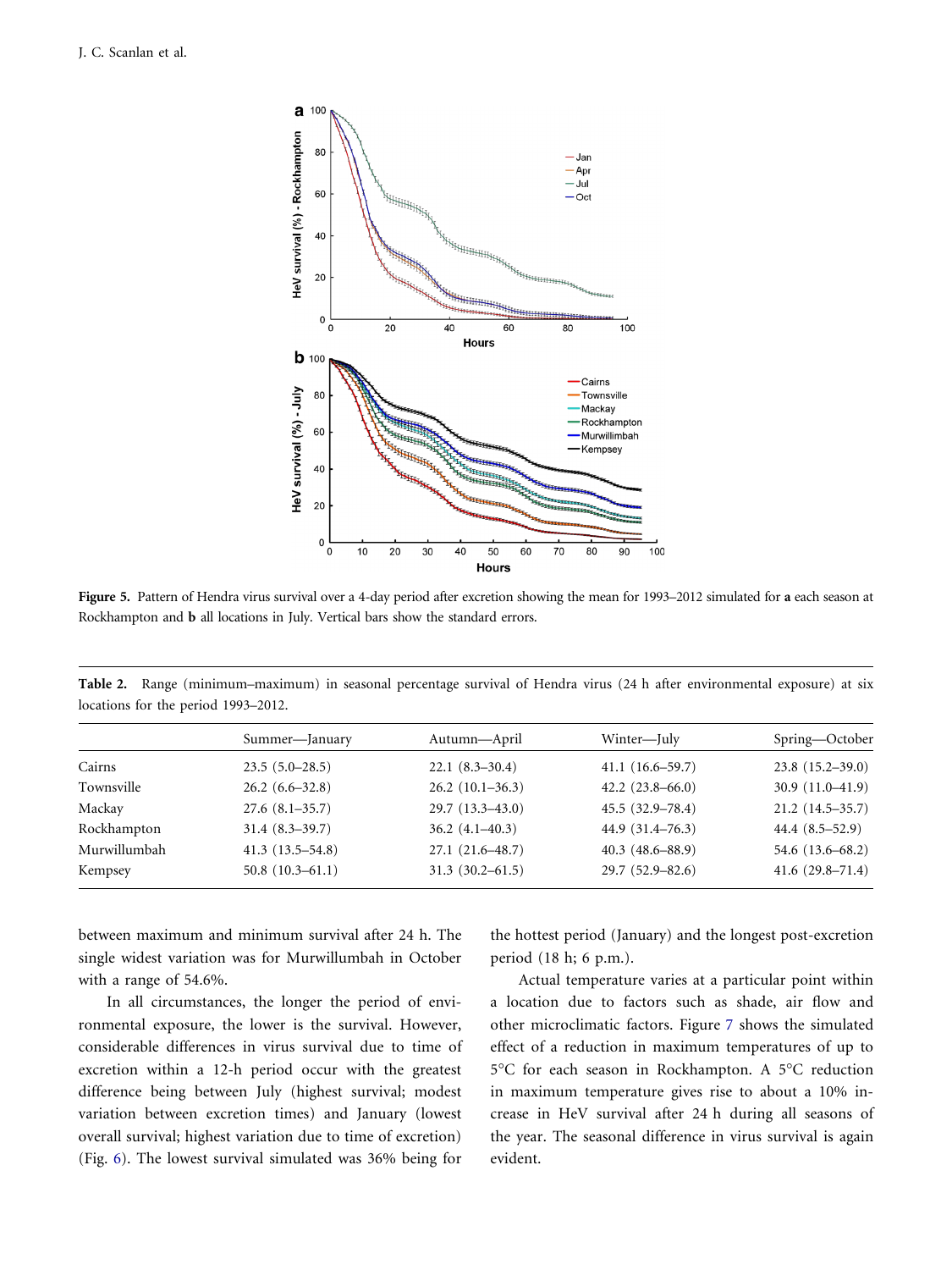<span id="page-5-0"></span>

Figure 5. Pattern of Hendra virus survival over a 4-day period after excretion showing the mean for 1993–2012 simulated for a each season at Rockhampton and b all locations in July. Vertical bars show the standard errors.

| locations for the period 1993–2012. |                   |                   |                     |                      |  |  |  |  |  |
|-------------------------------------|-------------------|-------------------|---------------------|----------------------|--|--|--|--|--|
|                                     | Summer-January    | Autumn—April      | Winter—July         | Spring—October       |  |  |  |  |  |
| Cairns                              | $23.5(5.0-28.5)$  | $22.1(8.3-30.4)$  | $41.1(16.6-59.7)$   | $23.8(15.2-39.0)$    |  |  |  |  |  |
| Townsville                          | $26.2(6.6-32.8)$  | $26.2(10.1-36.3)$ | $42.2(23.8-66.0)$   | $30.9(11.0-41.9)$    |  |  |  |  |  |
| Mackay                              | $27.6(8.1-35.7)$  | $29.7(13.3-43.0)$ | $45.5(32.9 - 78.4)$ | $21.2(14.5-35.7)$    |  |  |  |  |  |
| Rockhampton                         | $31.4(8.3-39.7)$  | $36.2(4.1-40.3)$  | $44.9(31.4-76.3)$   | $44.4(8.5-52.9)$     |  |  |  |  |  |
| Murwillumbah                        | $41.3(13.5-54.8)$ | $27.1(21.6-48.7)$ | $40.3(48.6 - 88.9)$ | 54.6 $(13.6 - 68.2)$ |  |  |  |  |  |

Kempsey 50.8 (10.3–61.1) 31.3 (30.2–61.5) 29.7 (52.9–82.6) 41.6 (29.8–71.4)

Table 2. Range (minimum–maximum) in seasonal percentage survival of Hendra virus (24 h after environmental exposure) at six locations for the period 1993–2012.

between maximum and minimum survival after 24 h. The single widest variation was for Murwillumbah in October with a range of 54.6%.

In all circumstances, the longer the period of environmental exposure, the lower is the survival. However, considerable differences in virus survival due to time of excretion within a 12-h period occur with the greatest difference being between July (highest survival; modest variation between excretion times) and January (lowest overall survival; highest variation due to time of excretion) (Fig. [6\)](#page-6-0). The lowest survival simulated was 36% being for the hottest period (January) and the longest post-excretion period (18 h; 6 p.m.).

Actual temperature varies at a particular point within a location due to factors such as shade, air flow and other microclimatic factors. Figure [7](#page-6-0) shows the simulated effect of a reduction in maximum temperatures of up to 5°C for each season in Rockhampton. A 5°C reduction in maximum temperature gives rise to about a 10% increase in HeV survival after 24 h during all seasons of the year. The seasonal difference in virus survival is again evident.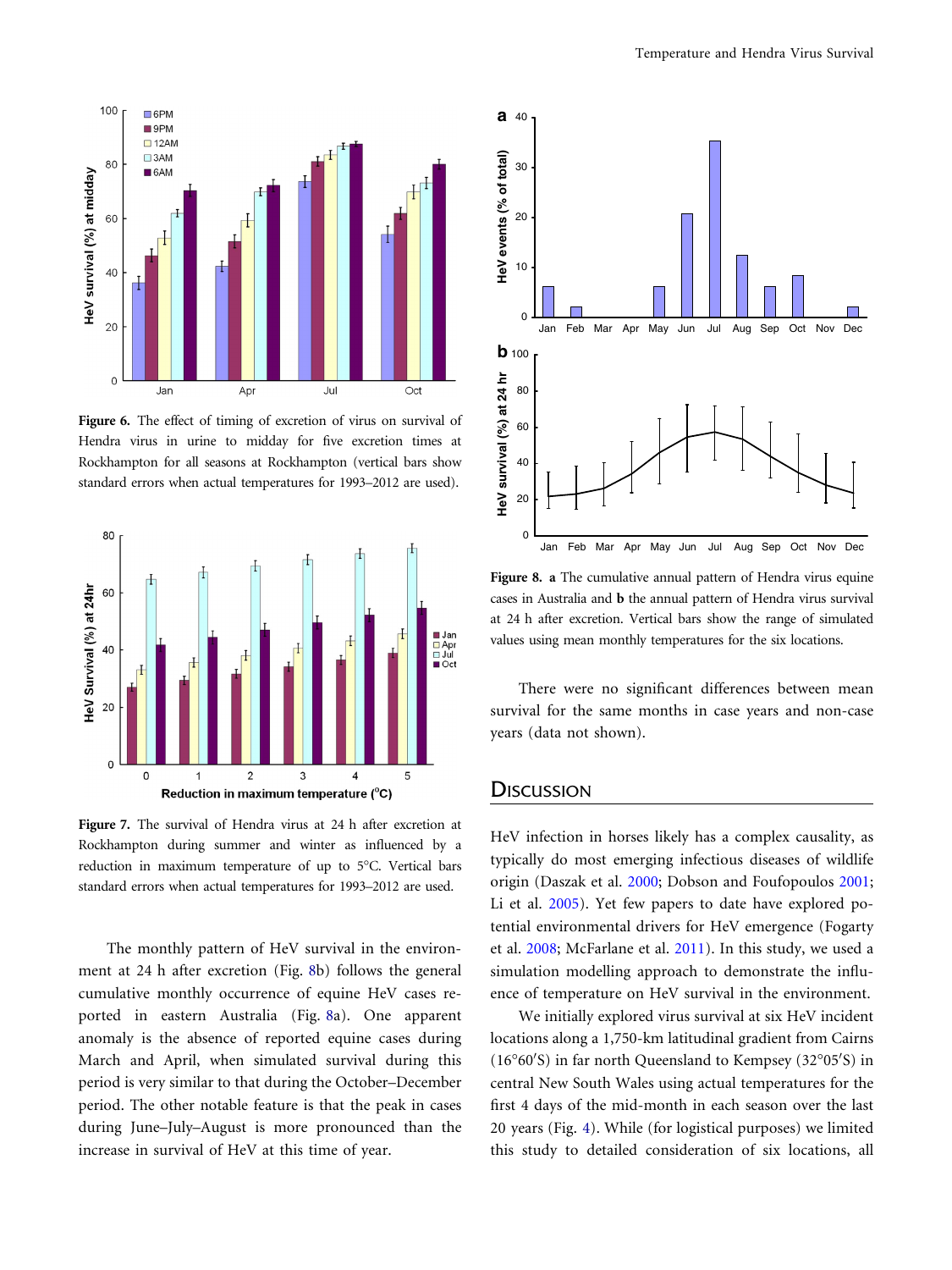<span id="page-6-0"></span>

Figure 6. The effect of timing of excretion of virus on survival of Hendra virus in urine to midday for five excretion times at Rockhampton for all seasons at Rockhampton (vertical bars show standard errors when actual temperatures for 1993–2012 are used).



Figure 7. The survival of Hendra virus at 24 h after excretion at Rockhampton during summer and winter as influenced by a reduction in maximum temperature of up to 5°C. Vertical bars standard errors when actual temperatures for 1993–2012 are used.

The monthly pattern of HeV survival in the environment at 24 h after excretion (Fig. 8b) follows the general cumulative monthly occurrence of equine HeV cases reported in eastern Australia (Fig. 8a). One apparent anomaly is the absence of reported equine cases during March and April, when simulated survival during this period is very similar to that during the October–December period. The other notable feature is that the peak in cases during June–July–August is more pronounced than the increase in survival of HeV at this time of year.



Figure 8. a The cumulative annual pattern of Hendra virus equine cases in Australia and b the annual pattern of Hendra virus survival at 24 h after excretion. Vertical bars show the range of simulated values using mean monthly temperatures for the six locations.

There were no significant differences between mean survival for the same months in case years and non-case years (data not shown).

# **DISCUSSION**

HeV infection in horses likely has a complex causality, as typically do most emerging infectious diseases of wildlife origin (Daszak et al. [2000;](#page-8-0) Dobson and Foufopoulos [2001;](#page-8-0) Li et al. [2005](#page-9-0)). Yet few papers to date have explored potential environmental drivers for HeV emergence (Fogarty et al. [2008;](#page-9-0) McFarlane et al. [2011\)](#page-9-0). In this study, we used a simulation modelling approach to demonstrate the influence of temperature on HeV survival in the environment.

We initially explored virus survival at six HeV incident locations along a 1,750-km latitudinal gradient from Cairns (16°60'S) in far north Queensland to Kempsey (32°05'S) in central New South Wales using actual temperatures for the first 4 days of the mid-month in each season over the last 20 years (Fig. [4](#page-4-0)). While (for logistical purposes) we limited this study to detailed consideration of six locations, all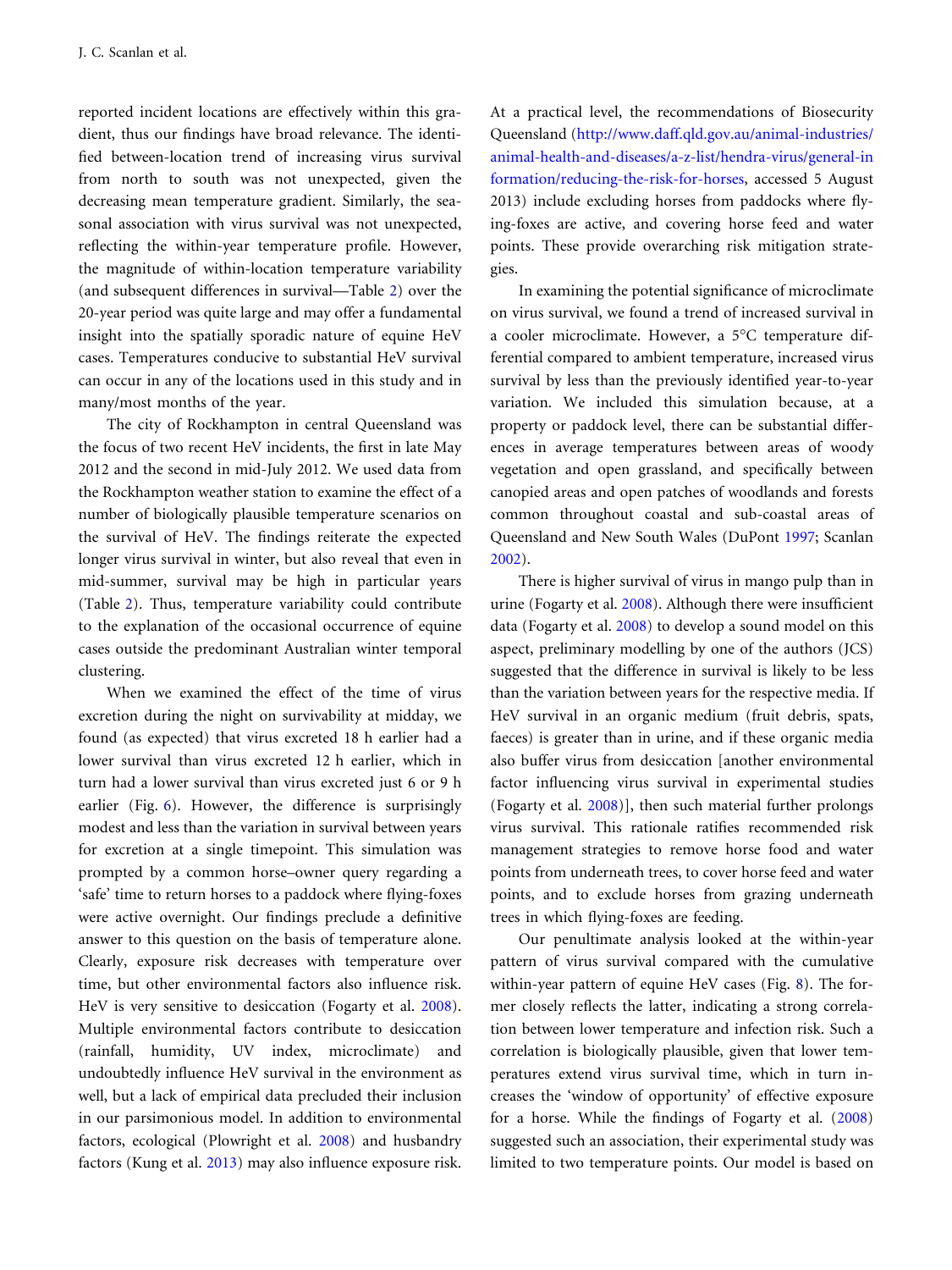reported incident locations are effectively within this gradient, thus our findings have broad relevance. The identified between-location trend of increasing virus survival from north to south was not unexpected, given the decreasing mean temperature gradient. Similarly, the seasonal association with virus survival was not unexpected, reflecting the within-year temperature profile. However, the magnitude of within-location temperature variability (and subsequent differences in survival—Table [2\)](#page-5-0) over the 20-year period was quite large and may offer a fundamental insight into the spatially sporadic nature of equine HeV cases. Temperatures conducive to substantial HeV survival can occur in any of the locations used in this study and in many/most months of the year.

The city of Rockhampton in central Queensland was the focus of two recent HeV incidents, the first in late May 2012 and the second in mid-July 2012. We used data from the Rockhampton weather station to examine the effect of a number of biologically plausible temperature scenarios on the survival of HeV. The findings reiterate the expected longer virus survival in winter, but also reveal that even in mid-summer, survival may be high in particular years (Table [2\)](#page-5-0). Thus, temperature variability could contribute to the explanation of the occasional occurrence of equine cases outside the predominant Australian winter temporal clustering.

When we examined the effect of the time of virus excretion during the night on survivability at midday, we found (as expected) that virus excreted 18 h earlier had a lower survival than virus excreted 12 h earlier, which in turn had a lower survival than virus excreted just 6 or 9 h earlier (Fig. [6\)](#page-6-0). However, the difference is surprisingly modest and less than the variation in survival between years for excretion at a single timepoint. This simulation was prompted by a common horse–owner query regarding a 'safe' time to return horses to a paddock where flying-foxes were active overnight. Our findings preclude a definitive answer to this question on the basis of temperature alone. Clearly, exposure risk decreases with temperature over time, but other environmental factors also influence risk. HeV is very sensitive to desiccation (Fogarty et al. [2008\)](#page-9-0). Multiple environmental factors contribute to desiccation (rainfall, humidity, UV index, microclimate) and undoubtedly influence HeV survival in the environment as well, but a lack of empirical data precluded their inclusion in our parsimonious model. In addition to environmental factors, ecological (Plowright et al. [2008](#page-9-0)) and husbandry factors (Kung et al. [2013](#page-9-0)) may also influence exposure risk.

At a practical level, the recommendations of Biosecurity Queensland ([http://www.daff.qld.gov.au/animal-industries/](http://www.daff.qld.gov.au/animal-industries/animal-health-and-diseases/a-z-list/hendra-virus/general-information/reducing-the-risk-for-horses) [animal-health-and-diseases/a-z-list/hendra-virus/general-in](http://www.daff.qld.gov.au/animal-industries/animal-health-and-diseases/a-z-list/hendra-virus/general-information/reducing-the-risk-for-horses) [formation/reducing-the-risk-for-horses](http://www.daff.qld.gov.au/animal-industries/animal-health-and-diseases/a-z-list/hendra-virus/general-information/reducing-the-risk-for-horses), accessed 5 August 2013) include excluding horses from paddocks where flying-foxes are active, and covering horse feed and water points. These provide overarching risk mitigation strategies.

In examining the potential significance of microclimate on virus survival, we found a trend of increased survival in a cooler microclimate. However, a 5°C temperature differential compared to ambient temperature, increased virus survival by less than the previously identified year-to-year variation. We included this simulation because, at a property or paddock level, there can be substantial differences in average temperatures between areas of woody vegetation and open grassland, and specifically between canopied areas and open patches of woodlands and forests common throughout coastal and sub-coastal areas of Queensland and New South Wales (DuPont [1997;](#page-9-0) Scanlan [2002](#page-9-0)).

There is higher survival of virus in mango pulp than in urine (Fogarty et al. [2008](#page-9-0)). Although there were insufficient data (Fogarty et al. [2008\)](#page-9-0) to develop a sound model on this aspect, preliminary modelling by one of the authors (JCS) suggested that the difference in survival is likely to be less than the variation between years for the respective media. If HeV survival in an organic medium (fruit debris, spats, faeces) is greater than in urine, and if these organic media also buffer virus from desiccation [another environmental factor influencing virus survival in experimental studies (Fogarty et al. [2008\)](#page-9-0)], then such material further prolongs virus survival. This rationale ratifies recommended risk management strategies to remove horse food and water points from underneath trees, to cover horse feed and water points, and to exclude horses from grazing underneath trees in which flying-foxes are feeding.

Our penultimate analysis looked at the within-year pattern of virus survival compared with the cumulative within-year pattern of equine HeV cases (Fig. [8](#page-6-0)). The former closely reflects the latter, indicating a strong correlation between lower temperature and infection risk. Such a correlation is biologically plausible, given that lower temperatures extend virus survival time, which in turn increases the 'window of opportunity' of effective exposure for a horse. While the findings of Fogarty et al. [\(2008](#page-9-0)) suggested such an association, their experimental study was limited to two temperature points. Our model is based on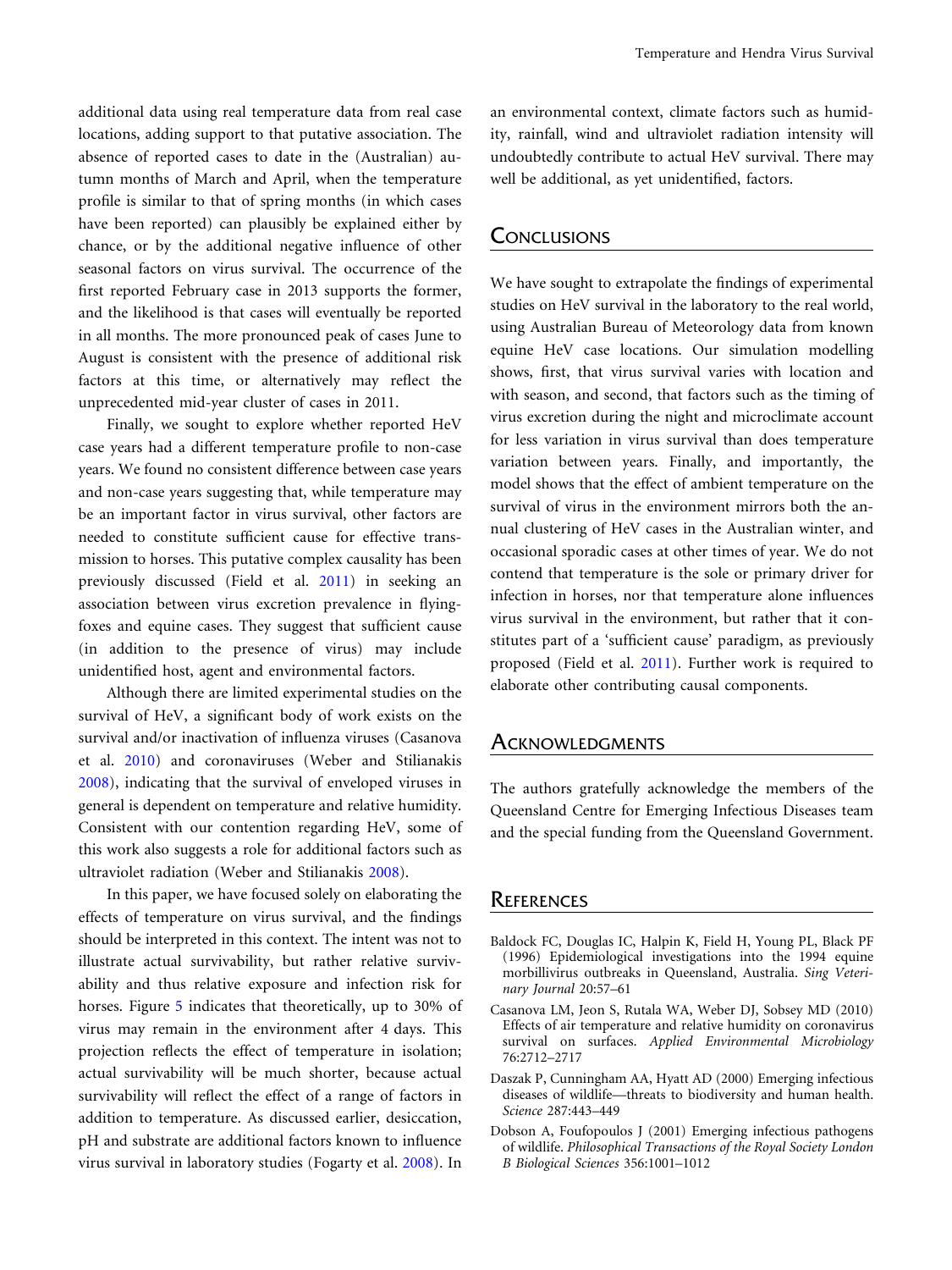<span id="page-8-0"></span>additional data using real temperature data from real case locations, adding support to that putative association. The absence of reported cases to date in the (Australian) autumn months of March and April, when the temperature profile is similar to that of spring months (in which cases have been reported) can plausibly be explained either by chance, or by the additional negative influence of other seasonal factors on virus survival. The occurrence of the first reported February case in 2013 supports the former, and the likelihood is that cases will eventually be reported in all months. The more pronounced peak of cases June to August is consistent with the presence of additional risk factors at this time, or alternatively may reflect the unprecedented mid-year cluster of cases in 2011.

Finally, we sought to explore whether reported HeV case years had a different temperature profile to non-case years. We found no consistent difference between case years and non-case years suggesting that, while temperature may be an important factor in virus survival, other factors are needed to constitute sufficient cause for effective transmission to horses. This putative complex causality has been previously discussed (Field et al. [2011](#page-9-0)) in seeking an association between virus excretion prevalence in flyingfoxes and equine cases. They suggest that sufficient cause (in addition to the presence of virus) may include unidentified host, agent and environmental factors.

Although there are limited experimental studies on the survival of HeV, a significant body of work exists on the survival and/or inactivation of influenza viruses (Casanova et al. 2010) and coronaviruses (Weber and Stilianakis [2008](#page-9-0)), indicating that the survival of enveloped viruses in general is dependent on temperature and relative humidity. Consistent with our contention regarding HeV, some of this work also suggests a role for additional factors such as ultraviolet radiation (Weber and Stilianakis [2008](#page-9-0)).

In this paper, we have focused solely on elaborating the effects of temperature on virus survival, and the findings should be interpreted in this context. The intent was not to illustrate actual survivability, but rather relative survivability and thus relative exposure and infection risk for horses. Figure [5](#page-5-0) indicates that theoretically, up to 30% of virus may remain in the environment after 4 days. This projection reflects the effect of temperature in isolation; actual survivability will be much shorter, because actual survivability will reflect the effect of a range of factors in addition to temperature. As discussed earlier, desiccation, pH and substrate are additional factors known to influence virus survival in laboratory studies (Fogarty et al. [2008](#page-9-0)). In an environmental context, climate factors such as humidity, rainfall, wind and ultraviolet radiation intensity will undoubtedly contribute to actual HeV survival. There may well be additional, as yet unidentified, factors.

#### **CONCLUSIONS**

We have sought to extrapolate the findings of experimental studies on HeV survival in the laboratory to the real world, using Australian Bureau of Meteorology data from known equine HeV case locations. Our simulation modelling shows, first, that virus survival varies with location and with season, and second, that factors such as the timing of virus excretion during the night and microclimate account for less variation in virus survival than does temperature variation between years. Finally, and importantly, the model shows that the effect of ambient temperature on the survival of virus in the environment mirrors both the annual clustering of HeV cases in the Australian winter, and occasional sporadic cases at other times of year. We do not contend that temperature is the sole or primary driver for infection in horses, nor that temperature alone influences virus survival in the environment, but rather that it constitutes part of a 'sufficient cause' paradigm, as previously proposed (Field et al. [2011](#page-9-0)). Further work is required to elaborate other contributing causal components.

#### **ACKNOWLEDGMENTS**

The authors gratefully acknowledge the members of the Queensland Centre for Emerging Infectious Diseases team and the special funding from the Queensland Government.

## **REFERENCES**

- Baldock FC, Douglas IC, Halpin K, Field H, Young PL, Black PF (1996) Epidemiological investigations into the 1994 equine morbillivirus outbreaks in Queensland, Australia. Sing Veterinary Journal 20:57–61
- Casanova LM, Jeon S, Rutala WA, Weber DJ, Sobsey MD (2010) Effects of air temperature and relative humidity on coronavirus survival on surfaces. Applied Environmental Microbiology 76:2712–2717
- Daszak P, Cunningham AA, Hyatt AD (2000) Emerging infectious diseases of wildlife—threats to biodiversity and human health. Science 287:443–449
- Dobson A, Foufopoulos J (2001) Emerging infectious pathogens of wildlife. Philosophical Transactions of the Royal Society London B Biological Sciences 356:1001–1012